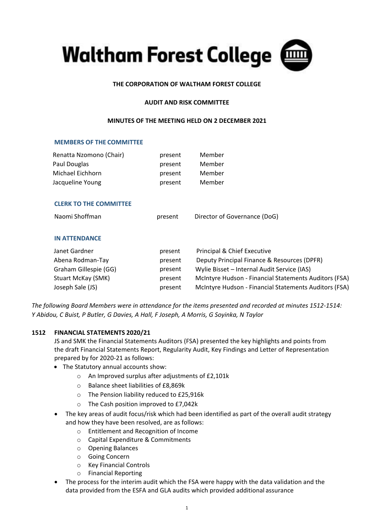

# **THE CORPORATION OF WALTHAM FOREST COLLEGE**

## **AUDIT AND RISK COMMITTEE**

### **MINUTES OF THE MEETING HELD ON 2 DECEMBER 2021**

### **MEMBERS OF THE COMMITTEE**

| Renatta Nzomono (Chair) | present | Member |
|-------------------------|---------|--------|
| Paul Douglas            | present | Member |
| Michael Eichhorn        | present | Member |
| Jacqueline Young        | present | Member |

## **CLERK TO THE COMMITTEE**

## **IN ATTENDANCE**

| Janet Gardner         | present | Principal & Chief Executive                           |
|-----------------------|---------|-------------------------------------------------------|
| Abena Rodman-Tay      | present | Deputy Principal Finance & Resources (DPFR)           |
| Graham Gillespie (GG) | present | Wylie Bisset - Internal Audit Service (IAS)           |
| Stuart McKay (SMK)    | present | McIntyre Hudson - Financial Statements Auditors (FSA) |
| Joseph Sale (JS)      | present | McIntyre Hudson - Financial Statements Auditors (FSA) |

*The following Board Members were in attendance for the items presented and recorded at minutes 1512-1514: Y Abidou, C Buist, P Butler, G Davies, A Hall, F Joseph, A Morris, G Soyinka, N Taylor*

## **1512 FINANCIAL STATEMENTS 2020/21**

JS and SMK the Financial Statements Auditors (FSA) presented the key highlights and points from the draft Financial Statements Report, Regularity Audit, Key Findings and Letter of Representation prepared by for 2020-21 as follows:

- The Statutory annual accounts show:
	- o An Improved surplus after adjustments of £2,101k
	- o Balance sheet liabilities of £8,869k
	- o The Pension liability reduced to £25,916k
	- o The Cash position improved to £7,042k
- The key areas of audit focus/risk which had been identified as part of the overall audit strategy and how they have been resolved, are as follows:
	- o Entitlement and Recognition of Income
	- o Capital Expenditure & Commitments
	- o Opening Balances
	- o Going Concern
	- o Key Financial Controls
	- o Financial Reporting
- The process for the interim audit which the FSA were happy with the data validation and the data provided from the ESFA and GLA audits which provided additional assurance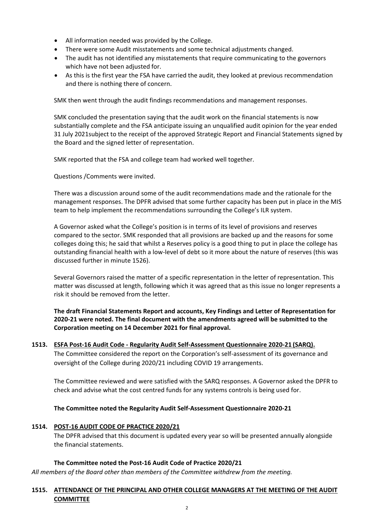- All information needed was provided by the College.
- There were some Audit misstatements and some technical adjustments changed.
- The audit has not identified any misstatements that require communicating to the governors which have not been adjusted for.
- As this is the first year the FSA have carried the audit, they looked at previous recommendation and there is nothing there of concern.

SMK then went through the audit findings recommendations and management responses.

SMK concluded the presentation saying that the audit work on the financial statements is now substantially complete and the FSA anticipate issuing an unqualified audit opinion for the year ended 31 July 2021subject to the receipt of the approved Strategic Report and Financial Statements signed by the Board and the signed letter of representation.

SMK reported that the FSA and college team had worked well together.

Questions /Comments were invited.

There was a discussion around some of the audit recommendations made and the rationale for the management responses. The DPFR advised that some further capacity has been put in place in the MIS team to help implement the recommendations surrounding the College's ILR system.

A Governor asked what the College's position is in terms of its level of provisions and reserves compared to the sector. SMK responded that all provisions are backed up and the reasons for some colleges doing this; he said that whilst a Reserves policy is a good thing to put in place the college has outstanding financial health with a low-level of debt so it more about the nature of reserves (this was discussed further in minute 1526).

Several Governors raised the matter of a specific representation in the letter of representation. This matter was discussed at length, following which it was agreed that as this issue no longer represents a risk it should be removed from the letter.

**The draft Financial Statements Report and accounts, Key Findings and Letter of Representation for 2020-21 were noted. The final document with the amendments agreed will be submitted to the Corporation meeting on 14 December 2021 for final approval.**

**1513. ESFA Post-16 Audit Code - Regularity Audit Self-Assessment Questionnaire 2020-21 (SARQ).** The Committee considered the report on the Corporation's self-assessment of its governance and oversight of the College during 2020/21 including COVID 19 arrangements.

The Committee reviewed and were satisfied with the SARQ responses. A Governor asked the DPFR to check and advise what the cost centred funds for any systems controls is being used for.

## **The Committee noted the Regularity Audit Self-Assessment Questionnaire 2020-21**

## **1514. POST-16 AUDIT CODE OF PRACTICE 2020/21**

The DPFR advised that this document is updated every year so will be presented annually alongside the financial statements.

#### **The Committee noted the Post-16 Audit Code of Practice 2020/21**

*All members of the Board other than members of the Committee withdrew from the meeting.*

# **1515. ATTENDANCE OF THE PRINCIPAL AND OTHER COLLEGE MANAGERS AT THE MEETING OF THE AUDIT COMMITTEE**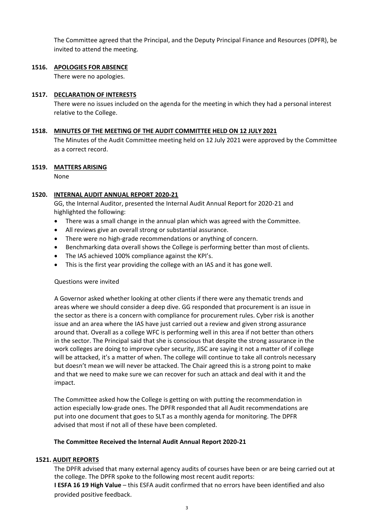The Committee agreed that the Principal, and the Deputy Principal Finance and Resources (DPFR), be invited to attend the meeting.

## **1516. APOLOGIES FOR ABSENCE**

There were no apologies.

### **1517. DECLARATION OF INTERESTS**

There were no issues included on the agenda for the meeting in which they had a personal interest relative to the College.

### **1518. MINUTES OF THE MEETING OF THE AUDIT COMMITTEE HELD ON 12 JULY 2021**

The Minutes of the Audit Committee meeting held on 12 July 2021 were approved by the Committee as a correct record.

### **1519. MATTERS ARISING**

None

### **1520. INTERNAL AUDIT ANNUAL REPORT 2020-21**

GG, the Internal Auditor, presented the Internal Audit Annual Report for 2020-21 and highlighted the following:

- There was a small change in the annual plan which was agreed with the Committee.
- All reviews give an overall strong or substantial assurance.
- There were no high-grade recommendations or anything of concern.
- Benchmarking data overall shows the College is performing better than most of clients.
- The IAS achieved 100% compliance against the KPI's.
- This is the first year providing the college with an IAS and it has gone well.

#### Questions were invited

A Governor asked whether looking at other clients if there were any thematic trends and areas where we should consider a deep dive. GG responded that procurement is an issue in the sector as there is a concern with compliance for procurement rules. Cyber risk is another issue and an area where the IAS have just carried out a review and given strong assurance around that. Overall as a college WFC is performing well in this area if not better than others in the sector. The Principal said that she is conscious that despite the strong assurance in the work colleges are doing to improve cyber security, JISC are saying it not a matter of if college will be attacked, it's a matter of when. The college will continue to take all controls necessary but doesn't mean we will never be attacked. The Chair agreed this is a strong point to make and that we need to make sure we can recover for such an attack and deal with it and the impact.

The Committee asked how the College is getting on with putting the recommendation in action especially low-grade ones. The DPFR responded that all Audit recommendations are put into one document that goes to SLT as a monthly agenda for monitoring. The DPFR advised that most if not all of these have been completed.

#### **The Committee Received the Internal Audit Annual Report 2020-21**

#### **1521. AUDIT REPORTS**

The DPFR advised that many external agency audits of courses have been or are being carried out at the college. The DPFR spoke to the following most recent audit reports:

**I ESFA 16 19 High Value** – this ESFA audit confirmed that no errors have been identified and also provided positive feedback.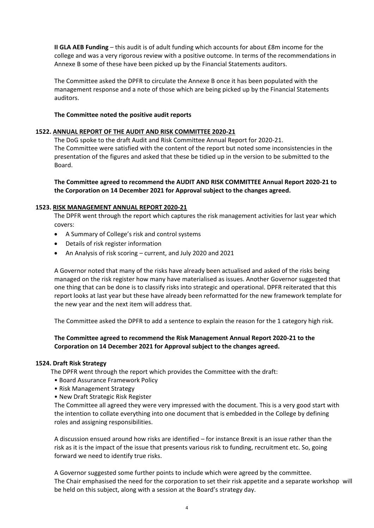**II GLA AEB Funding** – this audit is of adult funding which accounts for about £8m income for the college and was a very rigorous review with a positive outcome. In terms of the recommendations in Annexe B some of these have been picked up by the Financial Statements auditors.

The Committee asked the DPFR to circulate the Annexe B once it has been populated with the management response and a note of those which are being picked up by the Financial Statements auditors.

## **The Committee noted the positive audit reports**

# **1522. ANNUAL REPORT OF THE AUDIT AND RISK COMMITTEE 2020-21**

The DoG spoke to the draft Audit and Risk Committee Annual Report for 2020-21. The Committee were satisfied with the content of the report but noted some inconsistencies in the presentation of the figures and asked that these be tidied up in the version to be submitted to the Board.

**The Committee agreed to recommend the AUDIT AND RISK COMMITTEE Annual Report 2020-21 to the Corporation on 14 December 2021 for Approval subject to the changes agreed.**

## **1523. RISK MANAGEMENT ANNUAL REPORT 2020-21**

The DPFR went through the report which captures the risk management activities for last year which covers:

- A Summary of College's risk and control systems
- Details of risk register information
- An Analysis of risk scoring current, and July 2020 and 2021

A Governor noted that many of the risks have already been actualised and asked of the risks being managed on the risk register how many have materialised as issues. Another Governor suggested that one thing that can be done is to classify risks into strategic and operational. DPFR reiterated that this report looks at last year but these have already been reformatted for the new framework template for the new year and the next item will address that.

The Committee asked the DPFR to add a sentence to explain the reason for the 1 category high risk.

# **The Committee agreed to recommend the Risk Management Annual Report 2020-21 to the Corporation on 14 December 2021 for Approval subject to the changes agreed.**

## **1524. Draft Risk Strategy**

The DPFR went through the report which provides the Committee with the draft:

- Board Assurance Framework Policy
- Risk Management Strategy
- New Draft Strategic Risk Register

The Committee all agreed they were very impressed with the document. This is a very good start with the intention to collate everything into one document that is embedded in the College by defining roles and assigning responsibilities.

A discussion ensued around how risks are identified – for instance Brexit is an issue rather than the risk as it is the impact of the issue that presents various risk to funding, recruitment etc. So, going forward we need to identify true risks.

A Governor suggested some further points to include which were agreed by the committee. The Chair emphasised the need for the corporation to set their risk appetite and a separate workshop will be held on this subject, along with a session at the Board's strategy day.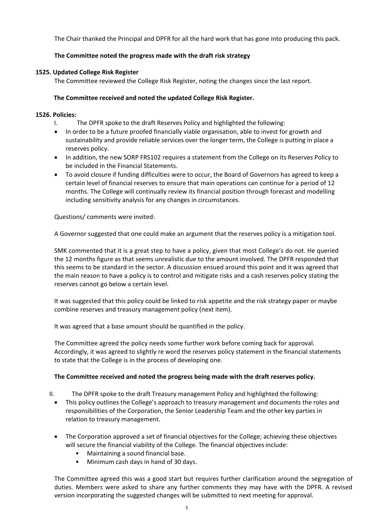The Chair thanked the Principal and DPFR for all the hard work that has gone into producing this pack.

# **The Committee noted the progress made with the draft risk strategy**

# **1525. Updated College Risk Register**

The Committee reviewed the College Risk Register, noting the changes since the last report.

# **The Committee received and noted the updated College Risk Register.**

## **1526. Policies:**

- I. The DPFR spoke to the draft Reserves Policy and highlighted the following:
- In order to be a future proofed financially viable organisation, able to invest for growth and sustainability and provide reliable services over the longer term, the College is putting in place a reserves policy.
- In addition, the new SORP FRS102 requires a statement from the College on its Reserves Policy to be included in the Financial Statements.
- To avoid closure if funding difficulties were to occur, the Board of Governors has agreed to keep a certain level of financial reserves to ensure that main operations can continue for a period of 12 months. The College will continually review its financial position through forecast and modelling including sensitivity analysis for any changes in circumstances.

Questions/ comments were invited:

A Governor suggested that one could make an argument that the reserves policy is a mitigation tool.

SMK commented that it is a great step to have a policy, given that most College's do not. He queried the 12 months figure as that seems unrealistic due to the amount involved. The DPFR responded that this seems to be standard in the sector. A discussion ensued around this point and it was agreed that the main reason to have a policy is to control and mitigate risks and a cash reserves policy stating the reserves cannot go below a certain level.

It was suggested that this policy could be linked to risk appetite and the risk strategy paper or maybe combine reserves and treasury management policy (next item).

It was agreed that a base amount should be quantified in the policy.

The Committee agreed the policy needs some further work before coming back for approval. Accordingly, it was agreed to slightly re word the reserves policy statement in the financial statements to state that the College is in the process of developing one.

## **The Committee received and noted the progress being made with the draft reserves policy.**

- II. The DPFR spoke to the draft Treasury management Policy and highlighted the following:
	- This policy outlines the College's approach to treasury management and documents the roles and responsibilities of the Corporation, the Senior Leadership Team and the other key parties in relation to treasury management.
	- The Corporation approved a set of financial objectives for the College; achieving these objectives will secure the financial viability of the College. The financial objectives include:
		- Maintaining a sound financial base.
		- Minimum cash days in hand of 30 days.

The Committee agreed this was a good start but requires further clarification around the segregation of duties. Members were asked to share any further comments they may have with the DPFR. A revised version incorporating the suggested changes will be submitted to next meeting for approval.